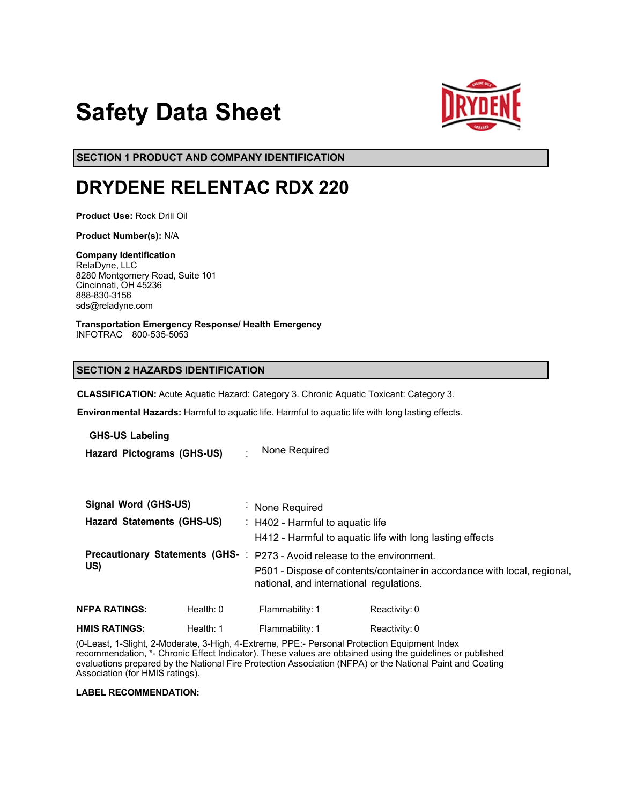# **Safety Data Sheet**



**SECTION 1 PRODUCT AND COMPANY IDENTIFICATION**

# **DRYDENE RELENTAC RDX 220**

**Product Use:** Rock Drill Oil

**Product Number(s):** N/A

**Company Identification** RelaDyne, LLC 8280 Montgomery Road, Suite 101 Cincinnati, OH 45236 888-830-3156 sds@reladyne.com

**Transportation Emergency Response/ Health Emergency** INFOTRAC 800-535-5053

# **SECTION 2 HAZARDS IDENTIFICATION**

**CLASSIFICATION:** Acute Aquatic Hazard: Category 3. Chronic Aquatic Toxicant: Category 3.

**Environmental Hazards:** Harmful to aquatic life. Harmful to aquatic life with long lasting effects.

**GHS-US Labeling**

**Hazard Pictograms (GHS-US)** : None Required

|                                        | Signal Word (GHS-US)              | $\blacksquare$ | None Required                                            |                                                                                                                      |  |  |
|----------------------------------------|-----------------------------------|----------------|----------------------------------------------------------|----------------------------------------------------------------------------------------------------------------------|--|--|
|                                        | <b>Hazard Statements (GHS-US)</b> |                | $\therefore$ H402 - Harmful to aquatic life              |                                                                                                                      |  |  |
|                                        |                                   |                | H412 - Harmful to aquatic life with long lasting effects |                                                                                                                      |  |  |
| <b>Precautionary Statements (GHS-:</b> |                                   |                | P273 - Avoid release to the environment.                 |                                                                                                                      |  |  |
|                                        | US)                               |                |                                                          | P501 - Dispose of contents/container in accordance with local, regional,<br>national, and international regulations. |  |  |
|                                        | NFPA RATINGS:                     | Health: $0$    | Flammability: 1                                          | Reactivity: 0                                                                                                        |  |  |
|                                        | HMIS RATINGS:                     | Health: 1      | Flammability: 1                                          | Reactivity: 0                                                                                                        |  |  |

(0-Least, 1-Slight, 2-Moderate, 3-High, 4-Extreme, PPE:- Personal Protection Equipment Index recommendation, \*- Chronic Effect Indicator). These values are obtained using the guidelines or published evaluations prepared by the National Fire Protection Association (NFPA) or the National Paint and Coating Association (for HMIS ratings).

# **LABEL RECOMMENDATION:**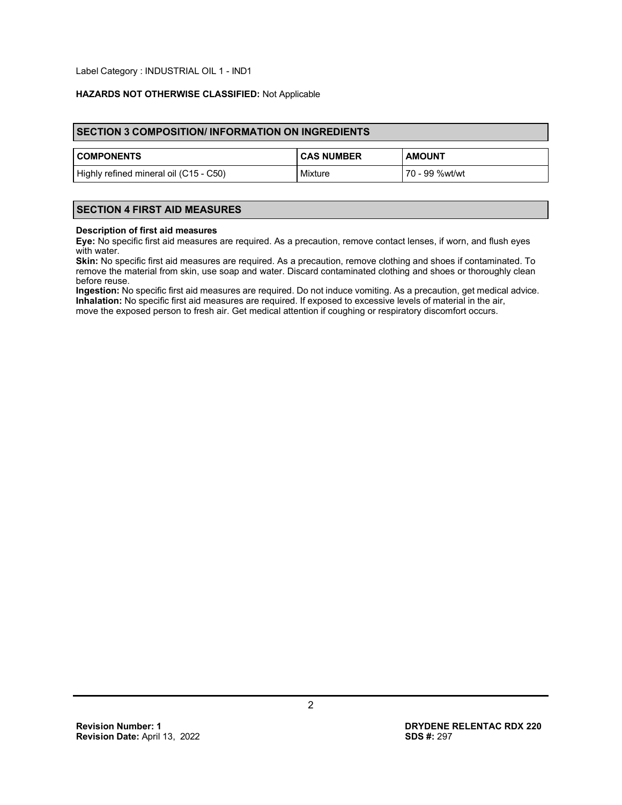Label Category : INDUSTRIAL OIL 1 - IND1

# **HAZARDS NOT OTHERWISE CLASSIFIED:** Not Applicable

| <b>SECTION 3 COMPOSITION/INFORMATION ON INGREDIENTS</b> |                   |                  |  |  |
|---------------------------------------------------------|-------------------|------------------|--|--|
| <b>COMPONENTS</b>                                       | <b>CAS NUMBER</b> | <b>AMOUNT</b>    |  |  |
| Highly refined mineral oil (C15 - C50)                  | Mixture           | l 70 - 99 %wt/wt |  |  |

# **SECTION 4 FIRST AID MEASURES**

#### **Description of first aid measures**

**Eye:** No specific first aid measures are required. As a precaution, remove contact lenses, if worn, and flush eyes with water.

**Skin:** No specific first aid measures are required. As a precaution, remove clothing and shoes if contaminated. To remove the material from skin, use soap and water. Discard contaminated clothing and shoes or thoroughly clean before reuse.

**Ingestion:** No specific first aid measures are required. Do not induce vomiting. As a precaution, get medical advice. **Inhalation:** No specific first aid measures are required. If exposed to excessive levels of material in the air, move the exposed person to fresh air. Get medical attention if coughing or respiratory discomfort occurs.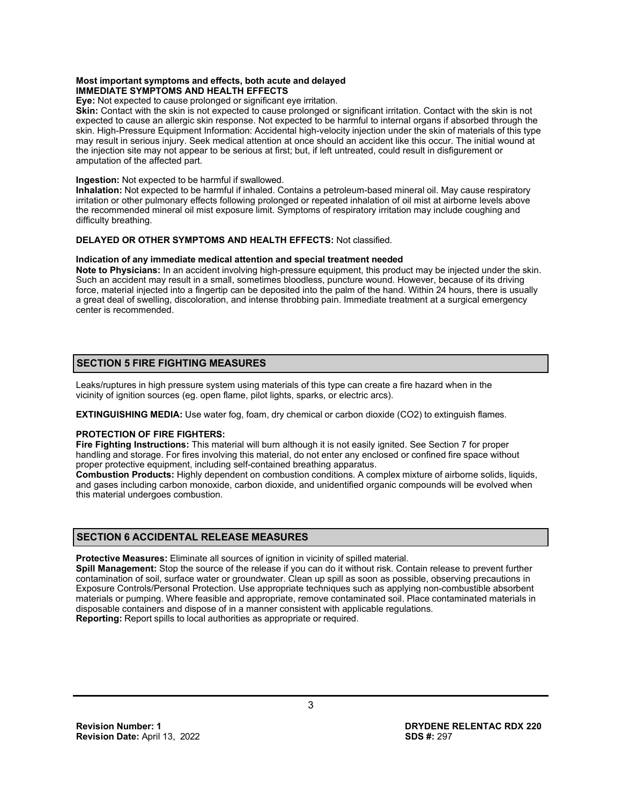#### **Most important symptoms and effects, both acute and delayed IMMEDIATE SYMPTOMS AND HEALTH EFFECTS**

**Eye:** Not expected to cause prolonged or significant eye irritation.

**Skin:** Contact with the skin is not expected to cause prolonged or significant irritation. Contact with the skin is not expected to cause an allergic skin response. Not expected to be harmful to internal organs if absorbed through the skin. High-Pressure Equipment Information: Accidental high-velocity injection under the skin of materials of this type may result in serious injury. Seek medical attention at once should an accident like this occur. The initial wound at the injection site may not appear to be serious at first; but, if left untreated, could result in disfigurement or amputation of the affected part.

#### **Ingestion:** Not expected to be harmful if swallowed.

**Inhalation:** Not expected to be harmful if inhaled. Contains a petroleum-based mineral oil. May cause respiratory irritation or other pulmonary effects following prolonged or repeated inhalation of oil mist at airborne levels above the recommended mineral oil mist exposure limit. Symptoms of respiratory irritation may include coughing and difficulty breathing.

# **DELAYED OR OTHER SYMPTOMS AND HEALTH EFFECTS:** Not classified.

#### **Indication of any immediate medical attention and special treatment needed**

**Note to Physicians:** In an accident involving high-pressure equipment, this product may be injected under the skin. Such an accident may result in a small, sometimes bloodless, puncture wound. However, because of its driving force, material injected into a fingertip can be deposited into the palm of the hand. Within 24 hours, there is usually a great deal of swelling, discoloration, and intense throbbing pain. Immediate treatment at a surgical emergency center is recommended.

# **SECTION 5 FIRE FIGHTING MEASURES**

Leaks/ruptures in high pressure system using materials of this type can create a fire hazard when in the vicinity of ignition sources (eg. open flame, pilot lights, sparks, or electric arcs).

**EXTINGUISHING MEDIA:** Use water fog, foam, dry chemical or carbon dioxide (CO2) to extinguish flames.

#### **PROTECTION OF FIRE FIGHTERS:**

**Fire Fighting Instructions:** This material will burn although it is not easily ignited. See Section 7 for proper handling and storage. For fires involving this material, do not enter any enclosed or confined fire space without proper protective equipment, including self-contained breathing apparatus.

**Combustion Products:** Highly dependent on combustion conditions. A complex mixture of airborne solids, liquids, and gases including carbon monoxide, carbon dioxide, and unidentified organic compounds will be evolved when this material undergoes combustion.

#### **SECTION 6 ACCIDENTAL RELEASE MEASURES**

**Protective Measures:** Eliminate all sources of ignition in vicinity of spilled material.

**Spill Management:** Stop the source of the release if you can do it without risk. Contain release to prevent further contamination of soil, surface water or groundwater. Clean up spill as soon as possible, observing precautions in Exposure Controls/Personal Protection. Use appropriate techniques such as applying non-combustible absorbent materials or pumping. Where feasible and appropriate, remove contaminated soil. Place contaminated materials in disposable containers and dispose of in a manner consistent with applicable regulations. **Reporting:** Report spills to local authorities as appropriate or required.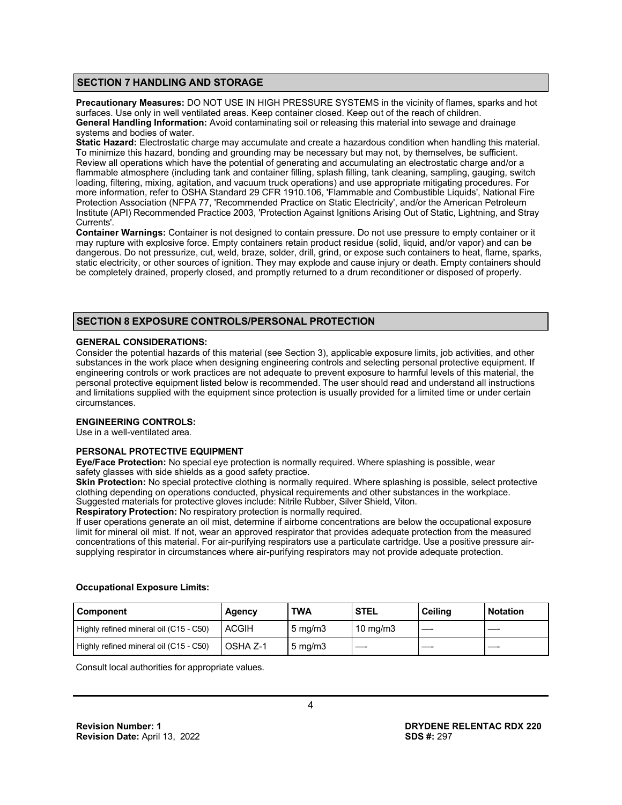#### **SECTION 7 HANDLING AND STORAGE**

**Precautionary Measures:** DO NOT USE IN HIGH PRESSURE SYSTEMS in the vicinity of flames, sparks and hot surfaces. Use only in well ventilated areas. Keep container closed. Keep out of the reach of children. **General Handling Information:** Avoid contaminating soil or releasing this material into sewage and drainage systems and bodies of water.

**Static Hazard:** Electrostatic charge may accumulate and create a hazardous condition when handling this material. To minimize this hazard, bonding and grounding may be necessary but may not, by themselves, be sufficient. Review all operations which have the potential of generating and accumulating an electrostatic charge and/or a flammable atmosphere (including tank and container filling, splash filling, tank cleaning, sampling, gauging, switch loading, filtering, mixing, agitation, and vacuum truck operations) and use appropriate mitigating procedures. For more information, refer to OSHA Standard 29 CFR 1910.106, 'Flammable and Combustible Liquids', National Fire Protection Association (NFPA 77, 'Recommended Practice on Static Electricity', and/or the American Petroleum Institute (API) Recommended Practice 2003, 'Protection Against Ignitions Arising Out of Static, Lightning, and Stray Currents'.

**Container Warnings:** Container is not designed to contain pressure. Do not use pressure to empty container or it may rupture with explosive force. Empty containers retain product residue (solid, liquid, and/or vapor) and can be dangerous. Do not pressurize, cut, weld, braze, solder, drill, grind, or expose such containers to heat, flame, sparks, static electricity, or other sources of ignition. They may explode and cause injury or death. Empty containers should be completely drained, properly closed, and promptly returned to a drum reconditioner or disposed of properly.

# **SECTION 8 EXPOSURE CONTROLS/PERSONAL PROTECTION**

#### **GENERAL CONSIDERATIONS:**

Consider the potential hazards of this material (see Section 3), applicable exposure limits, job activities, and other substances in the work place when designing engineering controls and selecting personal protective equipment. If engineering controls or work practices are not adequate to prevent exposure to harmful levels of this material, the personal protective equipment listed below is recommended. The user should read and understand all instructions and limitations supplied with the equipment since protection is usually provided for a limited time or under certain circumstances.

#### **ENGINEERING CONTROLS:**

Use in a well-ventilated area.

# **PERSONAL PROTECTIVE EQUIPMENT**

**Eye/Face Protection:** No special eye protection is normally required. Where splashing is possible, wear safety glasses with side shields as a good safety practice.

**Skin Protection:** No special protective clothing is normally required. Where splashing is possible, select protective clothing depending on operations conducted, physical requirements and other substances in the workplace. Suggested materials for protective gloves include: Nitrile Rubber, Silver Shield, Viton.

**Respiratory Protection:** No respiratory protection is normally required.

If user operations generate an oil mist, determine if airborne concentrations are below the occupational exposure limit for mineral oil mist. If not, wear an approved respirator that provides adequate protection from the measured concentrations of this material. For air-purifying respirators use a particulate cartridge. Use a positive pressure airsupplying respirator in circumstances where air-purifying respirators may not provide adequate protection.

# **Occupational Exposure Limits:**

| Component                              | <b>Agency</b> | <b>TWA</b>       | <b>STEL</b> | Ceilina | <b>Notation</b> |
|----------------------------------------|---------------|------------------|-------------|---------|-----------------|
| Highly refined mineral oil (C15 - C50) | <b>ACGIH</b>  | $5 \text{ mg/m}$ | 10 mg/m $3$ |         |                 |
| Highly refined mineral oil (C15 - C50) | OSHA Z-1      | $5 \text{ mg/m}$ |             |         |                 |

Consult local authorities for appropriate values.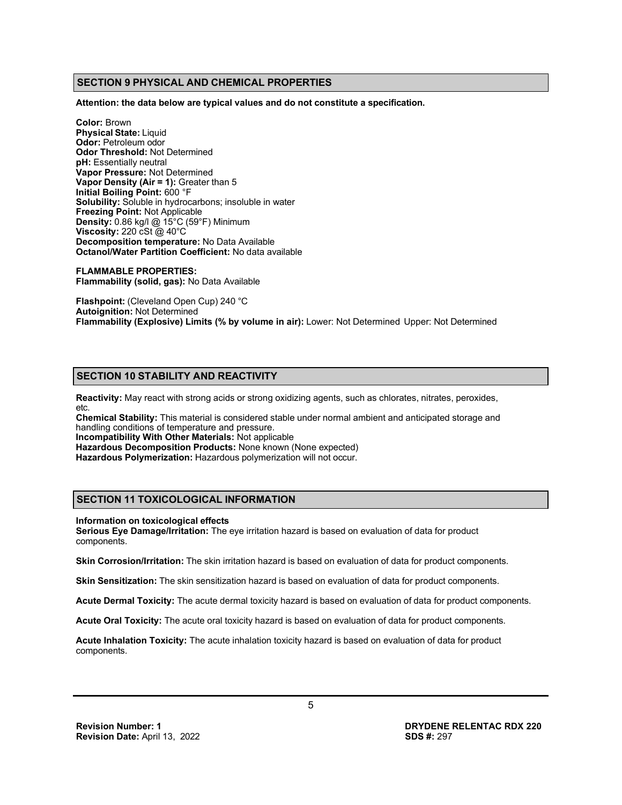# **SECTION 9 PHYSICAL AND CHEMICAL PROPERTIES**

**Attention: the data below are typical values and do not constitute a specification.**

**Color:** Brown **Physical State:** Liquid **Odor:** Petroleum odor **Odor Threshold:** Not Determined **pH:** Essentially neutral **Vapor Pressure:** Not Determined **Vapor Density (Air = 1):** Greater than 5 **Initial Boiling Point:** 600 °F **Solubility:** Soluble in hydrocarbons; insoluble in water **Freezing Point:** Not Applicable **Density:** 0.86 kg/l @ 15°C (59°F) Minimum **Viscosity:** 220 cSt @ 40°C **Decomposition temperature:** No Data Available **Octanol/Water Partition Coefficient:** No data available

**FLAMMABLE PROPERTIES: Flammability (solid, gas):** No Data Available

**Flashpoint:** (Cleveland Open Cup) 240 °C **Autoignition:** Not Determined **Flammability (Explosive) Limits (% by volume in air):** Lower: Not Determined Upper: Not Determined

#### **SECTION 10 STABILITY AND REACTIVITY**

**Reactivity:** May react with strong acids or strong oxidizing agents, such as chlorates, nitrates, peroxides, etc.

**Chemical Stability:** This material is considered stable under normal ambient and anticipated storage and handling conditions of temperature and pressure.

**Incompatibility With Other Materials:** Not applicable

**Hazardous Decomposition Products:** None known (None expected)

**Hazardous Polymerization:** Hazardous polymerization will not occur.

# **SECTION 11 TOXICOLOGICAL INFORMATION**

#### **Information on toxicological effects**

**Serious Eye Damage/Irritation:** The eye irritation hazard is based on evaluation of data for product components.

**Skin Corrosion/Irritation:** The skin irritation hazard is based on evaluation of data for product components.

**Skin Sensitization:** The skin sensitization hazard is based on evaluation of data for product components.

**Acute Dermal Toxicity:** The acute dermal toxicity hazard is based on evaluation of data for product components.

**Acute Oral Toxicity:** The acute oral toxicity hazard is based on evaluation of data for product components.

**Acute Inhalation Toxicity:** The acute inhalation toxicity hazard is based on evaluation of data for product components.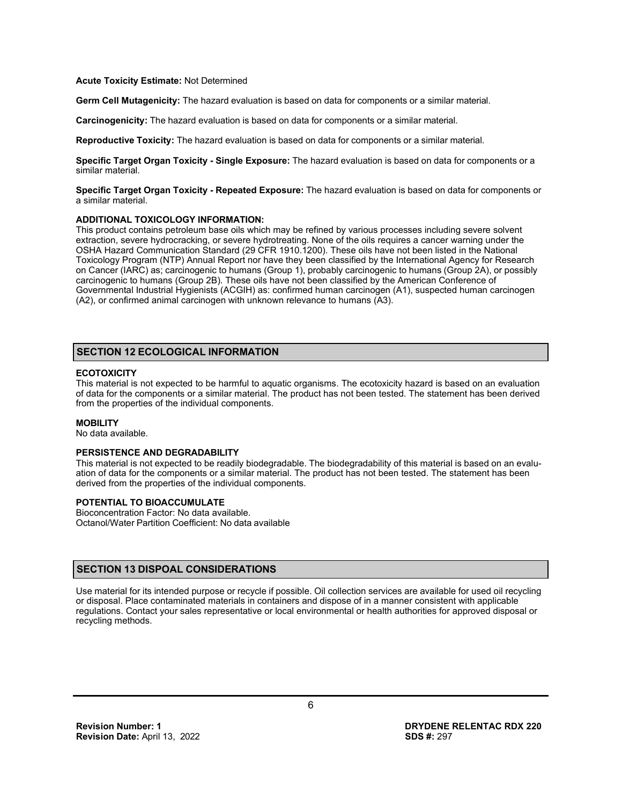#### **Acute Toxicity Estimate:** Not Determined

**Germ Cell Mutagenicity:** The hazard evaluation is based on data for components or a similar material.

**Carcinogenicity:** The hazard evaluation is based on data for components or a similar material.

**Reproductive Toxicity:** The hazard evaluation is based on data for components or a similar material.

**Specific Target Organ Toxicity - Single Exposure:** The hazard evaluation is based on data for components or a similar material.

**Specific Target Organ Toxicity - Repeated Exposure:** The hazard evaluation is based on data for components or a similar material.

#### **ADDITIONAL TOXICOLOGY INFORMATION:**

This product contains petroleum base oils which may be refined by various processes including severe solvent extraction, severe hydrocracking, or severe hydrotreating. None of the oils requires a cancer warning under the OSHA Hazard Communication Standard (29 CFR 1910.1200). These oils have not been listed in the National Toxicology Program (NTP) Annual Report nor have they been classified by the International Agency for Research on Cancer (IARC) as; carcinogenic to humans (Group 1), probably carcinogenic to humans (Group 2A), or possibly carcinogenic to humans (Group 2B). These oils have not been classified by the American Conference of Governmental Industrial Hygienists (ACGIH) as: confirmed human carcinogen (A1), suspected human carcinogen (A2), or confirmed animal carcinogen with unknown relevance to humans (A3).

# **SECTION 12 ECOLOGICAL INFORMATION**

# **ECOTOXICITY**

This material is not expected to be harmful to aquatic organisms. The ecotoxicity hazard is based on an evaluation of data for the components or a similar material. The product has not been tested. The statement has been derived from the properties of the individual components.

#### **MOBILITY**

No data available.

#### **PERSISTENCE AND DEGRADABILITY**

This material is not expected to be readily biodegradable. The biodegradability of this material is based on an evaluation of data for the components or a similar material. The product has not been tested. The statement has been derived from the properties of the individual components.

#### **POTENTIAL TO BIOACCUMULATE**

Bioconcentration Factor: No data available. Octanol/Water Partition Coefficient: No data available

#### **SECTION 13 DISPOAL CONSIDERATIONS**

Use material for its intended purpose or recycle if possible. Oil collection services are available for used oil recycling or disposal. Place contaminated materials in containers and dispose of in a manner consistent with applicable regulations. Contact your sales representative or local environmental or health authorities for approved disposal or recycling methods.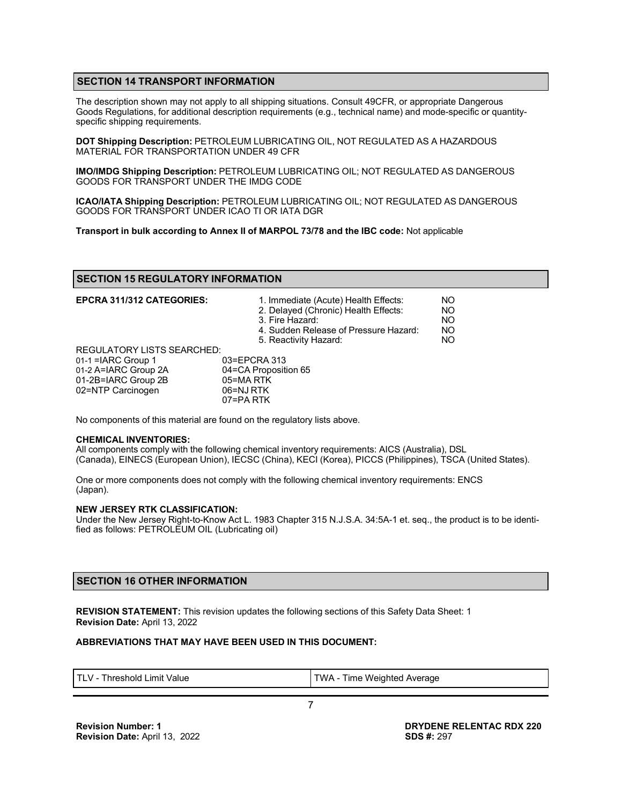# **SECTION 14 TRANSPORT INFORMATION**

The description shown may not apply to all shipping situations. Consult 49CFR, or appropriate Dangerous Goods Regulations, for additional description requirements (e.g., technical name) and mode-specific or quantityspecific shipping requirements.

**DOT Shipping Description:** PETROLEUM LUBRICATING OIL, NOT REGULATED AS A HAZARDOUS MATERIAL FOR TRANSPORTATION UNDER 49 CFR

**IMO/IMDG Shipping Description:** PETROLEUM LUBRICATING OIL; NOT REGULATED AS DANGEROUS GOODS FOR TRANSPORT UNDER THE IMDG CODE

**ICAO/IATA Shipping Description:** PETROLEUM LUBRICATING OIL; NOT REGULATED AS DANGEROUS GOODS FOR TRANSPORT UNDER ICAO TI OR IATA DGR

**Transport in bulk according to Annex II of MARPOL 73/78 and the IBC code:** Not applicable

#### **SECTION 15 REGULATORY INFORMATION**

| <b>EPCRA 311/312 CATEGORIES:</b>                                                                                              | 1. Immediate (Acute) Health Effects:<br>2. Delayed (Chronic) Health Effects:<br>3. Fire Hazard:<br>4. Sudden Release of Pressure Hazard:<br>5. Reactivity Hazard: | NO<br>NO<br><b>NO</b><br><b>NO</b><br><b>NO</b> |
|-------------------------------------------------------------------------------------------------------------------------------|-------------------------------------------------------------------------------------------------------------------------------------------------------------------|-------------------------------------------------|
| <b>REGULATORY LISTS SEARCHED:</b><br>$01-1$ = ARC Group 1<br>01-2 A=IARC Group 2A<br>01-2B=IARC Group 2B<br>02=NTP Carcinogen | 03=EPCRA 313<br>04=CA Proposition 65<br>05=MARTK<br>06=NJ RTK<br>$07 = PA$ RTK                                                                                    |                                                 |

No components of this material are found on the regulatory lists above.

#### **CHEMICAL INVENTORIES:**

All components comply with the following chemical inventory requirements: AICS (Australia), DSL (Canada), EINECS (European Union), IECSC (China), KECI (Korea), PICCS (Philippines), TSCA (United States).

One or more components does not comply with the following chemical inventory requirements: ENCS (Japan).

#### **NEW JERSEY RTK CLASSIFICATION:**

Under the New Jersey Right-to-Know Act L. 1983 Chapter 315 N.J.S.A. 34:5A-1 et. seq., the product is to be identified as follows: PETROLEUM OIL (Lubricating oil)

# **SECTION 16 OTHER INFORMATION**

**REVISION STATEMENT:** This revision updates the following sections of this Safety Data Sheet: 1 **Revision Date:** April 13, 2022

#### **ABBREVIATIONS THAT MAY HAVE BEEN USED IN THIS DOCUMENT:**

| TWA - Time Weighted Average<br>$\top$ i V -<br>Threshold Limit Value |
|----------------------------------------------------------------------|
|----------------------------------------------------------------------|

7